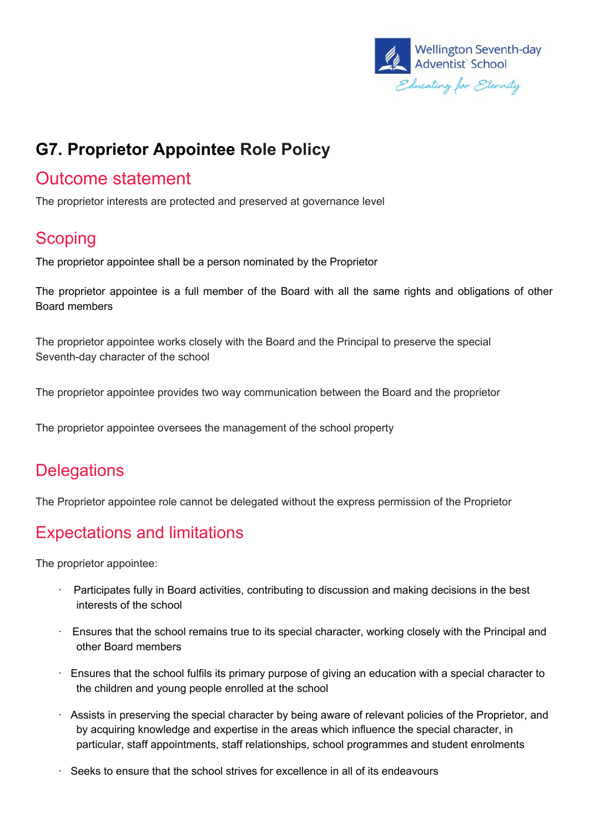

# **G7. Proprietor Appointee Role Policy**

### Outcome statement

The proprietor interests are protected and preserved at governance level

## **Scoping**

The proprietor appointee shall be a person nominated by the Proprietor

The proprietor appointee is a full member of the Board with all the same rights and obligations of other Board members

The proprietor appointee works closely with the Board and the Principal to preserve the special Seventh-day character of the school

The proprietor appointee provides two way communication between the Board and the proprietor

The proprietor appointee oversees the management of the school property

#### **Delegations**

The Proprietor appointee role cannot be delegated without the express permission of the Proprietor

### Expectations and limitations

The proprietor appointee:

- · Participates fully in Board activities, contributing to discussion and making decisions in the best interests of the school
- · Ensures that the school remains true to its special character, working closely with the Principal and other Board members
- · Ensures that the school fulfils its primary purpose of giving an education with a special character to the children and young people enrolled at the school
- · Assists in preserving the special character by being aware of relevant policies of the Proprietor, and by acquiring knowledge and expertise in the areas which influence the special character, in particular, staff appointments, staff relationships, school programmes and student enrolments
- $\cdot$  Seeks to ensure that the school strives for excellence in all of its endeavours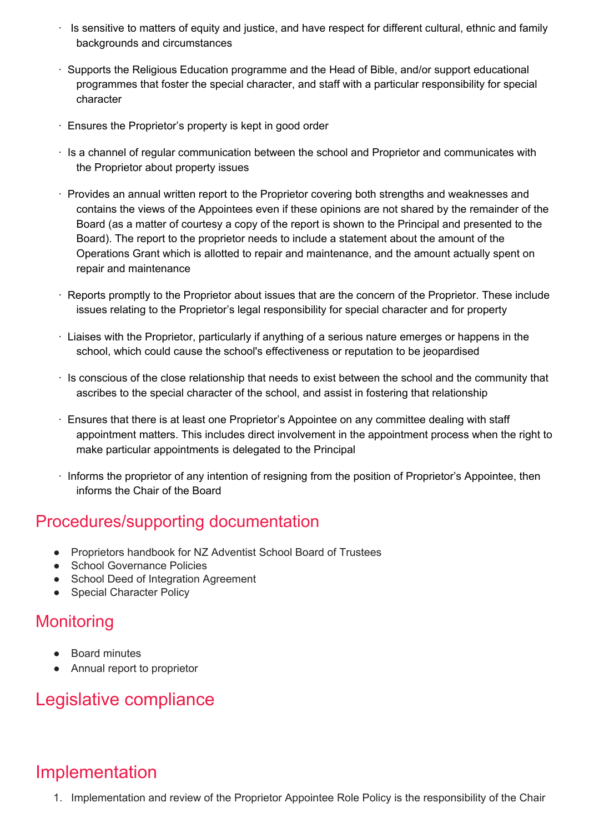- · Is sensitive to matters of equity and justice, and have respect for different cultural, ethnic and family backgrounds and circumstances
- · Supports the Religious Education programme and the Head of Bible, and/or support educational programmes that foster the special character, and staff with a particular responsibility for special character
- · Ensures the Proprietor's property is kept in good order
- · Is a channel of regular communication between the school and Proprietor and communicates with the Proprietor about property issues
- · Provides an annual written report to the Proprietor covering both strengths and weaknesses and contains the views of the Appointees even if these opinions are not shared by the remainder of the Board (as a matter of courtesy a copy of the report is shown to the Principal and presented to the Board). The report to the proprietor needs to include a statement about the amount of the Operations Grant which is allotted to repair and maintenance, and the amount actually spent on repair and maintenance
- · Reports promptly to the Proprietor about issues that are the concern of the Proprietor. These include issues relating to the Proprietor's legal responsibility for special character and for property
- · Liaises with the Proprietor, particularly if anything of a serious nature emerges or happens in the school, which could cause the school's effectiveness or reputation to be jeopardised
- $\cdot$  Is conscious of the close relationship that needs to exist between the school and the community that ascribes to the special character of the school, and assist in fostering that relationship
- · Ensures that there is at least one Proprietor's Appointee on any committee dealing with staff appointment matters. This includes direct involvement in the appointment process when the right to make particular appointments is delegated to the Principal
- · Informs the proprietor of any intention of resigning from the position of Proprietor's Appointee, then informs the Chair of the Board

#### Procedures/supporting documentation

- Proprietors handbook for NZ Adventist School Board of Trustees
- School Governance Policies
- School Deed of Integration Agreement
- Special Character Policy

#### **Monitoring**

- Board minutes
- Annual report to proprietor

### Legislative compliance

# Implementation

1. Implementation and review of the Proprietor Appointee Role Policy is the responsibility of the Chair